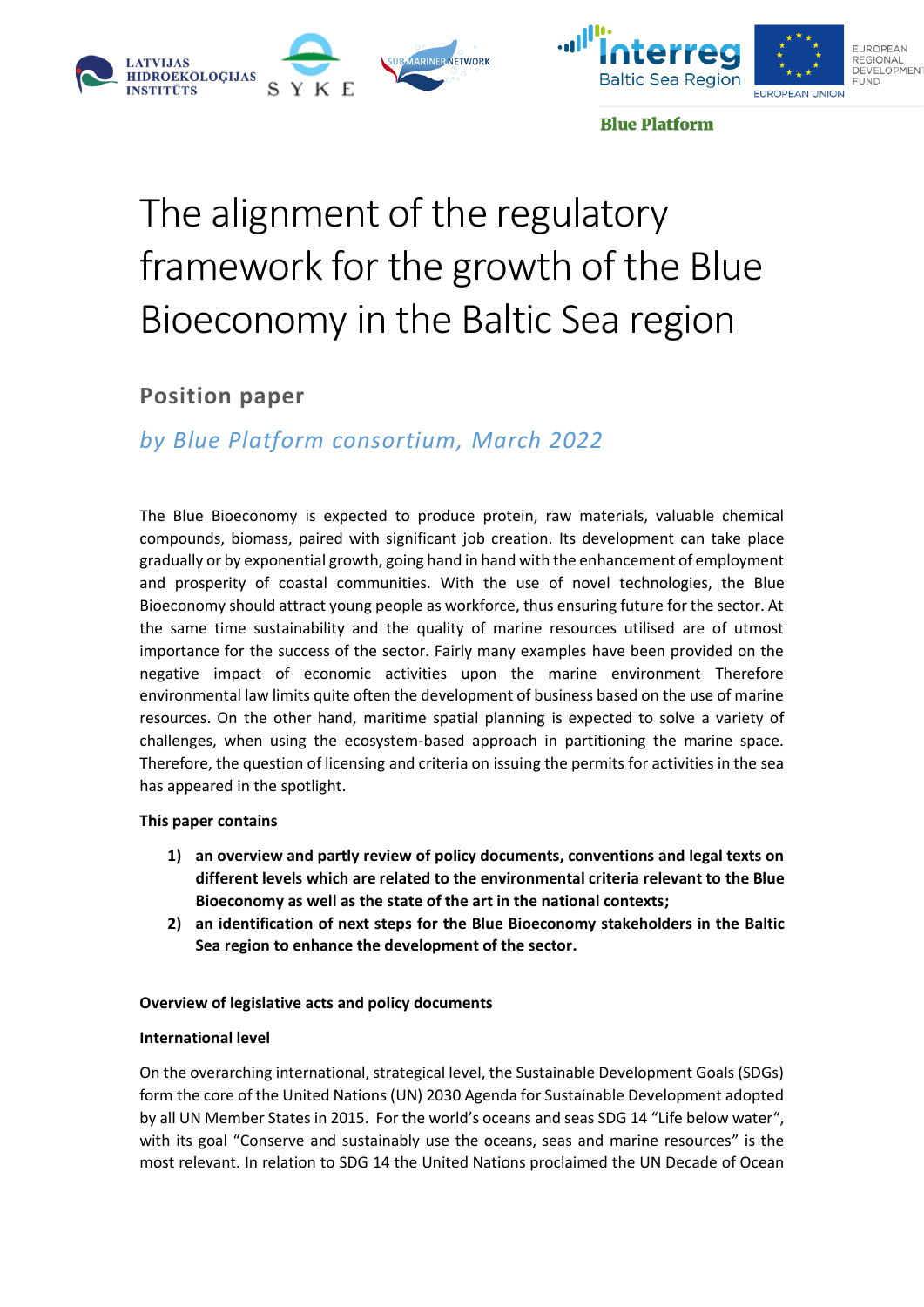





**Blue Platform** 

# The alignment of the regulatory framework for the growth of the Blue Bioeconomy in the Baltic Sea region

## **Position paper**

## *by Blue Platform consortium, March 2022*

The Blue Bioeconomy is expected to produce protein, raw materials, valuable chemical compounds, biomass, paired with significant job creation. Its development can take place gradually or by exponential growth, going hand in hand with the enhancement of employment and prosperity of coastal communities. With the use of novel technologies, the Blue Bioeconomy should attract young people as workforce, thus ensuring future for the sector. At the same time sustainability and the quality of marine resources utilised are of utmost importance for the success of the sector. Fairly many examples have been provided on the negative impact of economic activities upon the marine environment Therefore environmental law limits quite often the development of business based on the use of marine resources. On the other hand, maritime spatial planning is expected to solve a variety of challenges, when using the ecosystem-based approach in partitioning the marine space. Therefore, the question of licensing and criteria on issuing the permits for activities in the sea has appeared in the spotlight.

### **This paper contains**

- **1) an overview and partly review of policy documents, conventions and legal texts on different levels which are related to the environmental criteria relevant to the Blue Bioeconomy as well as the state of the art in the national contexts;**
- **2) an identification of next steps for the Blue Bioeconomy stakeholders in the Baltic Sea region to enhance the development of the sector.**

#### **Overview of legislative acts and policy documents**

#### **International level**

On the overarching international, strategical level, the Sustainable Development Goals (SDGs) form the core of the United Nations (UN) 2030 Agenda for Sustainable Development adopted by all UN Member States in 2015. For the world's oceans and seas SDG 14 "Life below water", with its goal "Conserve and sustainably use the oceans, seas and marine resources" is the most relevant. In relation to SDG 14 the United Nations proclaimed the UN Decade of Ocean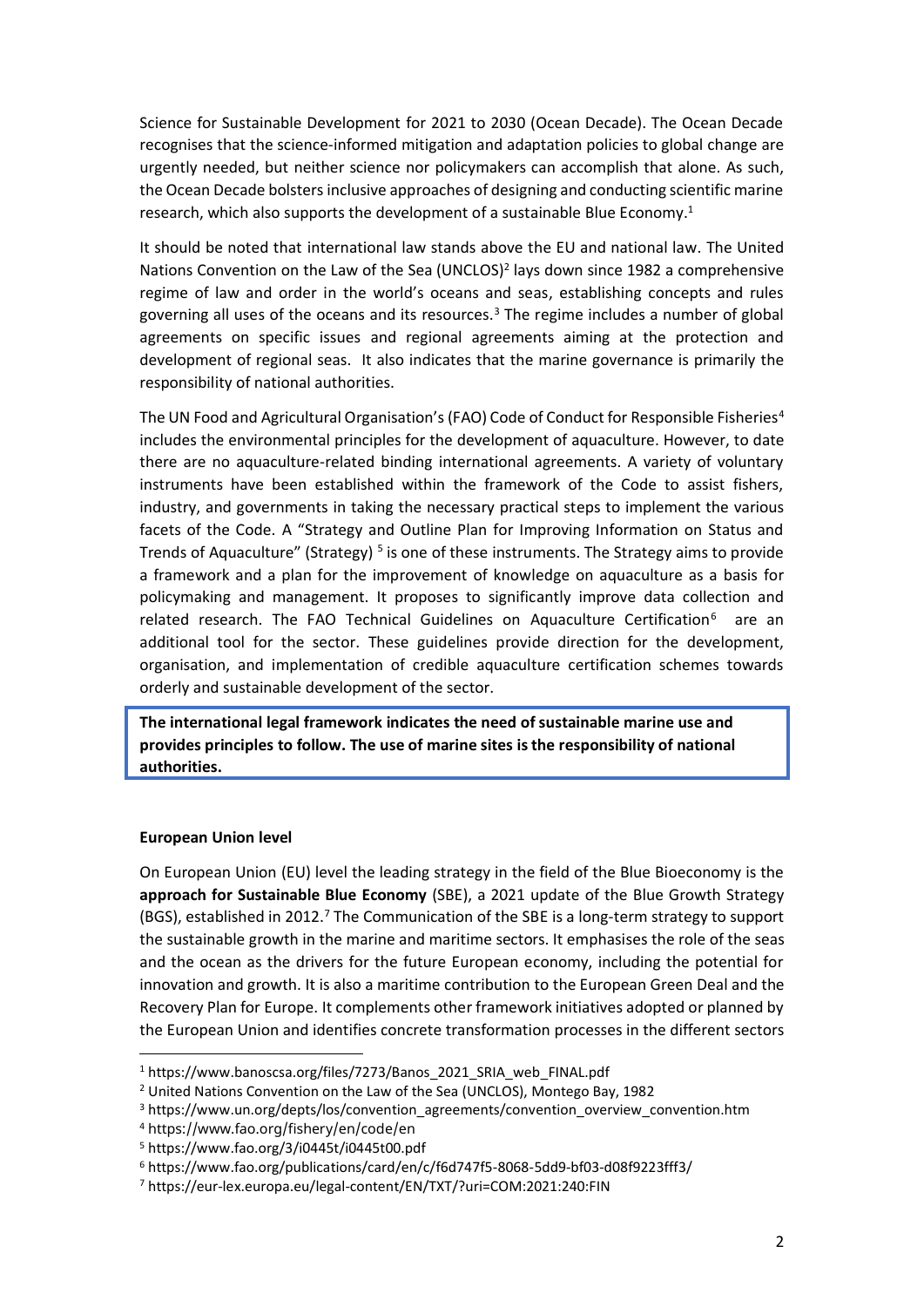Science for Sustainable Development for 2021 to 2030 (Ocean Decade). The Ocean Decade recognises that the science-informed mitigation and adaptation policies to global change are urgently needed, but neither science nor policymakers can accomplish that alone. As such, the Ocean Decade bolsters inclusive approaches of designing and conducting scientific marine research, which also supports the development of a sustainable Blue Economy. 1

It should be noted that international law stands above the EU and national law. The United Nations Convention on the Law of the Sea (UNCLOS)<sup>2</sup> lays down since 1982 a comprehensive regime of law and order in the world's oceans and seas, establishing concepts and rules governing all uses of the oceans and its resources. $3$  The regime includes a number of global agreements on specific issues and regional agreements aiming at the protection and development of regional seas. It also indicates that the marine governance is primarily the responsibility of national authorities.

The UN Food and Agricultural Organisation's (FAO) Code of Conduct for Responsible Fisheries<sup>4</sup> includes the environmental principles for the development of aquaculture. However, to date there are no aquaculture-related binding international agreements. A variety of voluntary instruments have been established within the framework of the Code to assist fishers, industry, and governments in taking the necessary practical steps to implement the various facets of the Code. A "Strategy and Outline Plan for Improving Information on Status and Trends of Aquaculture" (Strategy)<sup>5</sup> is one of these instruments. The Strategy aims to provide a framework and a plan for the improvement of knowledge on aquaculture as a basis for policymaking and management. It proposes to significantly improve data collection and related research. The FAO Technical Guidelines on Aquaculture Certification<sup>6</sup> are an additional tool for the sector. These guidelines provide direction for the development, organisation, and implementation of credible aquaculture certification schemes towards orderly and sustainable development of the sector.

**The international legal framework indicates the need of sustainable marine use and provides principles to follow. The use of marine sites is the responsibility of national authorities.**

#### **European Union level**

On European Union (EU) level the leading strategy in the field of the Blue Bioeconomy is the **approach for Sustainable Blue Economy** (SBE), a 2021 update of the Blue Growth Strategy (BGS), established in 2012. <sup>7</sup> The Communication of the SBE is a long-term strategy to support the sustainable growth in the marine and maritime sectors. It emphasises the role of the seas and the ocean as the drivers for the future European economy, including the potential for innovation and growth. It is also a maritime contribution to the European Green Deal and the Recovery Plan for Europe. It complements other framework initiatives adopted or planned by the European Union and identifies concrete transformation processes in the different sectors

<sup>1</sup> https://www.banoscsa.org/files/7273/Banos\_2021\_SRIA\_web\_FINAL.pdf

<sup>2</sup> United Nations Convention on the Law of the Sea (UNCLOS), Montego Bay, 1982

<sup>&</sup>lt;sup>3</sup> https://www.un.org/depts/los/convention\_agreements/convention\_overview\_convention.htm

<sup>4</sup> https://www.fao.org/fishery/en/code/en

<sup>5</sup> https://www.fao.org/3/i0445t/i0445t00.pdf

<sup>6</sup> https://www.fao.org/publications/card/en/c/f6d747f5-8068-5dd9-bf03-d08f9223fff3/

<sup>7</sup> https://eur-lex.europa.eu/legal-content/EN/TXT/?uri=COM:2021:240:FIN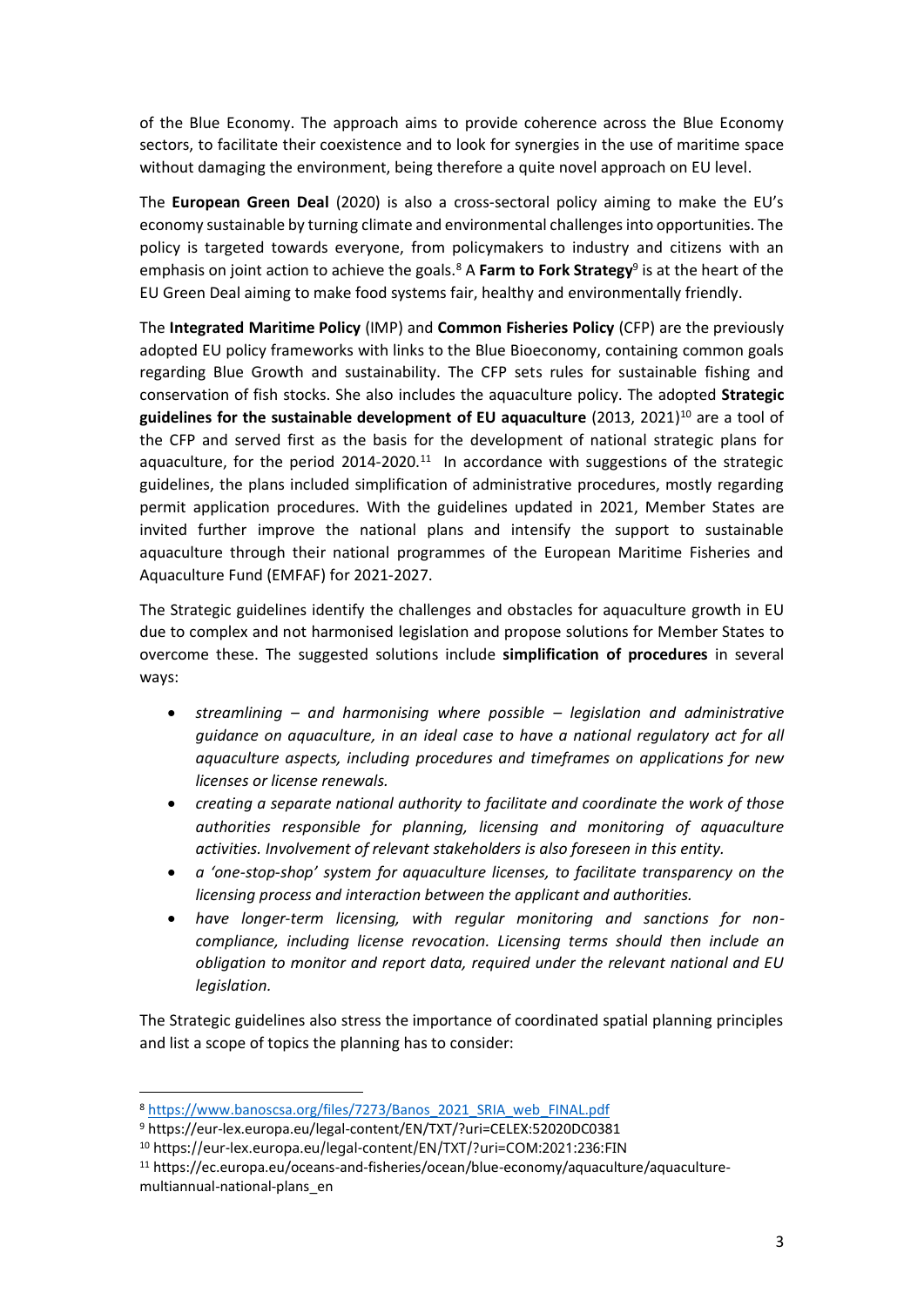of the Blue Economy. The approach aims to provide coherence across the Blue Economy sectors, to facilitate their coexistence and to look for synergies in the use of maritime space without damaging the environment, being therefore a quite novel approach on EU level.

The **European Green Deal** (2020) is also a cross-sectoral policy aiming to make the EU's economy sustainable by turning climate and environmental challenges into opportunities. The policy is targeted towards everyone, from policymakers to industry and citizens with an emphasis on joint action to achieve the goals.<sup>8</sup> A Farm to Fork Strategy<sup>9</sup> is at the heart of the EU Green Deal aiming to make food systems fair, healthy and environmentally friendly.

The **Integrated Maritime Policy** (IMP) and **Common Fisheries Policy** (CFP) are the previously adopted EU policy frameworks with links to the Blue Bioeconomy, containing common goals regarding Blue Growth and sustainability. The CFP sets rules for sustainable fishing and conservation of fish stocks. She also includes the aquaculture policy. The adopted **Strategic**  guidelines for the sustainable development of EU aquaculture (2013, 2021)<sup>10</sup> are a tool of the CFP and served first as the basis for the development of national strategic plans for aquaculture, for the period  $2014$ -2020.<sup>11</sup> In accordance with suggestions of the strategic guidelines, the plans included simplification of administrative procedures, mostly regarding permit application procedures. With the guidelines updated in 2021, Member States are invited further improve the national plans and intensify the support to sustainable aquaculture through their national programmes of the European Maritime Fisheries and Aquaculture Fund (EMFAF) for 2021-2027.

The Strategic guidelines identify the challenges and obstacles for aquaculture growth in EU due to complex and not harmonised legislation and propose solutions for Member States to overcome these. The suggested solutions include **simplification of procedures** in several ways:

- *streamlining – and harmonising where possible – legislation and administrative guidance on aquaculture, in an ideal case to have a national regulatory act for all aquaculture aspects, including procedures and timeframes on applications for new licenses or license renewals.*
- *creating a separate national authority to facilitate and coordinate the work of those authorities responsible for planning, licensing and monitoring of aquaculture activities. Involvement of relevant stakeholders is also foreseen in this entity.*
- *a 'one-stop-shop' system for aquaculture licenses, to facilitate transparency on the licensing process and interaction between the applicant and authorities.*
- *have longer-term licensing, with regular monitoring and sanctions for noncompliance, including license revocation. Licensing terms should then include an obligation to monitor and report data, required under the relevant national and EU legislation.*

The Strategic guidelines also stress the importance of coordinated spatial planning principles and list a scope of topics the planning has to consider:

<sup>8</sup> [https://www.banoscsa.org/files/7273/Banos\\_2021\\_SRIA\\_web\\_FINAL.pdf](https://www.banoscsa.org/files/7273/Banos_2021_SRIA_web_FINAL.pdf)

<sup>9</sup> https://eur-lex.europa.eu/legal-content/EN/TXT/?uri=CELEX:52020DC0381

<sup>10</sup> https://eur-lex.europa.eu/legal-content/EN/TXT/?uri=COM:2021:236:FIN

<sup>11</sup> https://ec.europa.eu/oceans-and-fisheries/ocean/blue-economy/aquaculture/aquaculturemultiannual-national-plans\_en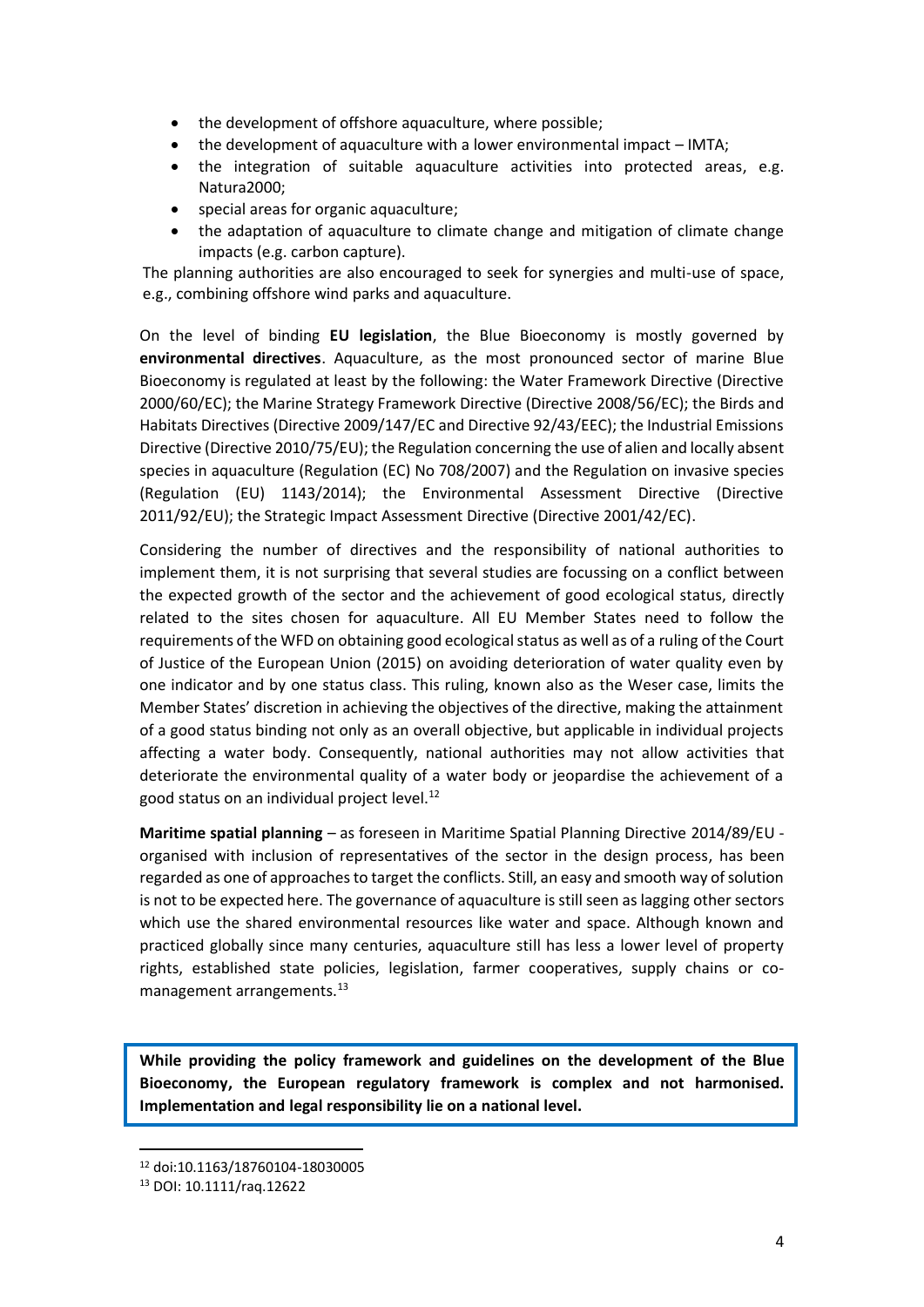- the development of offshore aquaculture, where possible;
- the development of aquaculture with a lower environmental impact IMTA;
- the integration of suitable aquaculture activities into protected areas, e.g. Natura2000;
- special areas for organic aquaculture;
- the adaptation of aquaculture to climate change and mitigation of climate change impacts (e.g. carbon capture).

The planning authorities are also encouraged to seek for synergies and multi-use of space, e.g., combining offshore wind parks and aquaculture.

On the level of binding **EU legislation**, the Blue Bioeconomy is mostly governed by **environmental directives**. Aquaculture, as the most pronounced sector of marine Blue Bioeconomy is regulated at least by the following: the Water Framework Directive (Directive 2000/60/EC); the Marine Strategy Framework Directive (Directive 2008/56/EC); the Birds and Habitats Directives (Directive 2009/147/EC and Directive 92/43/EEC); the Industrial Emissions Directive (Directive 2010/75/EU); the Regulation concerning the use of alien and locally absent species in aquaculture (Regulation (EC) No 708/2007) and the Regulation on invasive species (Regulation (EU) 1143/2014); the Environmental Assessment Directive (Directive 2011/92/EU); the Strategic Impact Assessment Directive (Directive 2001/42/EC).

Considering the number of directives and the responsibility of national authorities to implement them, it is not surprising that several studies are focussing on a conflict between the expected growth of the sector and the achievement of good ecological status, directly related to the sites chosen for aquaculture. All EU Member States need to follow the requirements of the WFD on obtaining good ecological status as well as of a ruling of the Court of Justice of the European Union (2015) on avoiding deterioration of water quality even by one indicator and by one status class. This ruling, known also as the Weser case, limits the Member States' discretion in achieving the objectives of the directive, making the attainment of a good status binding not only as an overall objective, but applicable in individual projects affecting a water body. Consequently, national authorities may not allow activities that deteriorate the environmental quality of a water body or jeopardise the achievement of a good status on an individual project level.<sup>12</sup>

**Maritime spatial planning** – as foreseen in Maritime Spatial Planning Directive 2014/89/EU organised with inclusion of representatives of the sector in the design process, has been regarded as one of approaches to target the conflicts. Still, an easy and smooth way of solution is not to be expected here. The governance of aquaculture is still seen as lagging other sectors which use the shared environmental resources like water and space. Although known and practiced globally since many centuries, aquaculture still has less a lower level of property rights, established state policies, legislation, farmer cooperatives, supply chains or comanagement arrangements.<sup>13</sup>

**While providing the policy framework and guidelines on the development of the Blue Bioeconomy, the European regulatory framework is complex and not harmonised. Implementation and legal responsibility lie on a national level.**

<sup>12</sup> doi:10.1163/18760104-18030005

<sup>13</sup> DOI: 10.1111/raq.12622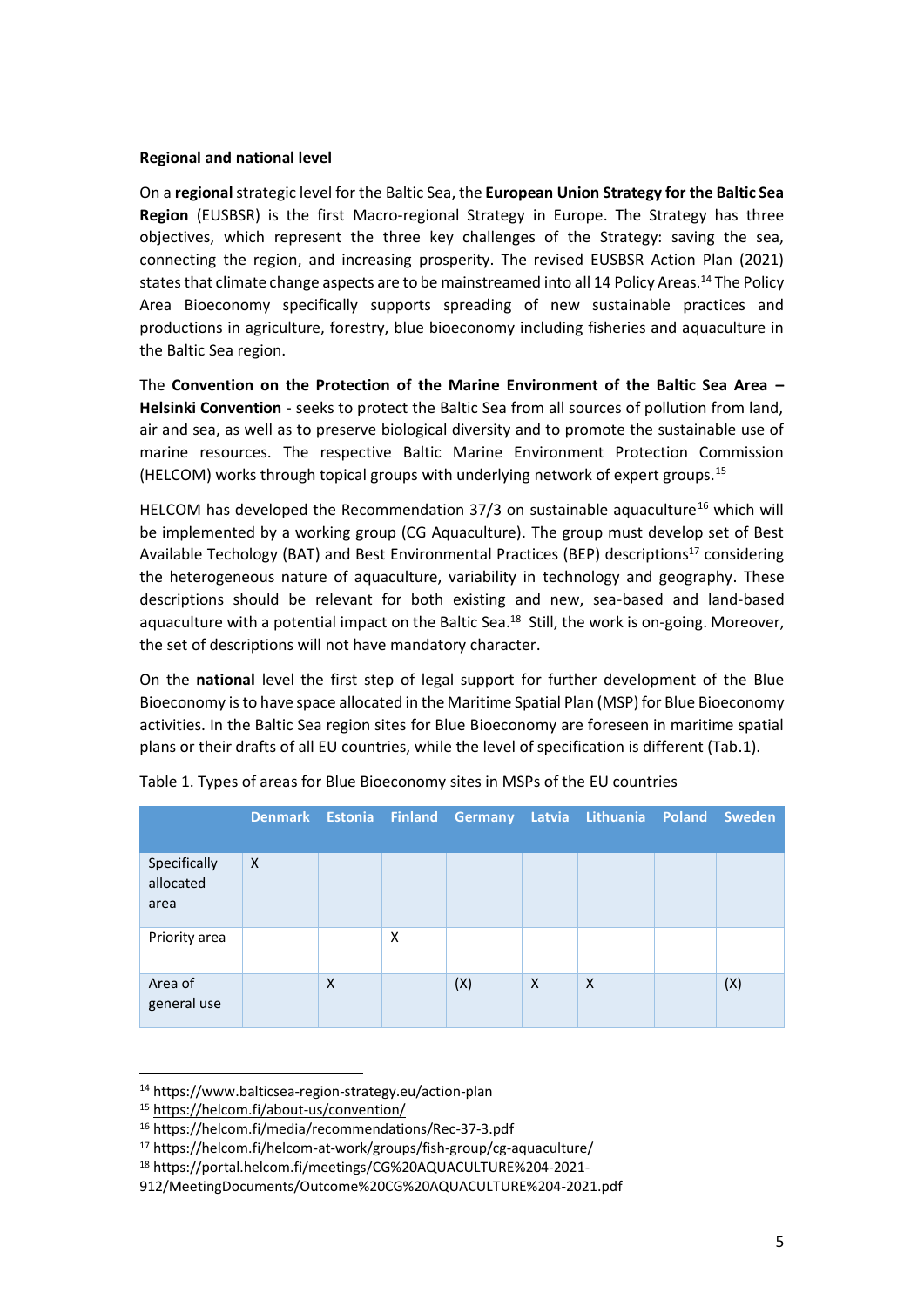#### **Regional and national level**

On a **regional**strategic level for the Baltic Sea, the **European Union Strategy for the Baltic Sea Region** (EUSBSR) is the first Macro-regional Strategy in Europe. The Strategy has three objectives, which represent the three key challenges of the Strategy: saving the sea, connecting the region, and increasing prosperity. The revised EUSBSR Action Plan (2021) states that climate change aspects are to be mainstreamed into all 14 Policy Areas.<sup>14</sup> The Policy Area Bioeconomy specifically supports spreading of new sustainable practices and productions in agriculture, forestry, blue bioeconomy including fisheries and aquaculture in the Baltic Sea region.

The **Convention on the Protection of the Marine Environment of the Baltic Sea Area – [Helsinki Convention](https://helcom.fi/about-us/convention/)** - seeks to protect the Baltic Sea from all sources of pollution from land, air and sea, as well as to preserve biological diversity and to promote the sustainable use of marine resources. The respective Baltic Marine Environment Protection Commission (HELCOM) works through topical groups with underlying network of expert groups.<sup>15</sup>

HELCOM has developed the Recommendation  $37/3$  on sustainable aquaculture<sup>16</sup> which will be implemented by a working group (CG Aquaculture). The group must develop set of Best Available Techology (BAT) and Best Environmental Practices (BEP) descriptions<sup>17</sup> considering the heterogeneous nature of aquaculture, variability in technology and geography. These descriptions should be relevant for both existing and new, sea-based and land-based aquaculture with a potential impact on the Baltic Sea.<sup>18</sup> Still, the work is on-going. Moreover, the set of descriptions will not have mandatory character.

On the **national** level the first step of legal support for further development of the Blue Bioeconomy is to have space allocated in the Maritime Spatial Plan (MSP) for Blue Bioeconomy activities. In the Baltic Sea region sites for Blue Bioeconomy are foreseen in maritime spatial plans or their drafts of all EU countries, while the level of specification is different (Tab.1).

|                                   |              |   |   |     |          | Denmark Estonia Finland Germany Latvia Lithuania Poland Sweden |     |
|-----------------------------------|--------------|---|---|-----|----------|----------------------------------------------------------------|-----|
| Specifically<br>allocated<br>area | $\mathsf{X}$ |   |   |     |          |                                                                |     |
| Priority area                     |              |   | X |     |          |                                                                |     |
| Area of<br>general use            |              | X |   | (X) | $\times$ | $\times$                                                       | (X) |

|  |  | Table 1. Types of areas for Blue Bioeconomy sites in MSPs of the EU countries |  |  |
|--|--|-------------------------------------------------------------------------------|--|--|
|--|--|-------------------------------------------------------------------------------|--|--|

<sup>14</sup> https://www.balticsea-region-strategy.eu/action-plan

<sup>15</sup> <https://helcom.fi/about-us/convention/>

<sup>16</sup> https://helcom.fi/media/recommendations/Rec-37-3.pdf

<sup>17</sup> https://helcom.fi/helcom-at-work/groups/fish-group/cg-aquaculture/

<sup>18</sup> https://portal.helcom.fi/meetings/CG%20AQUACULTURE%204-2021-

<sup>912/</sup>MeetingDocuments/Outcome%20CG%20AQUACULTURE%204-2021.pdf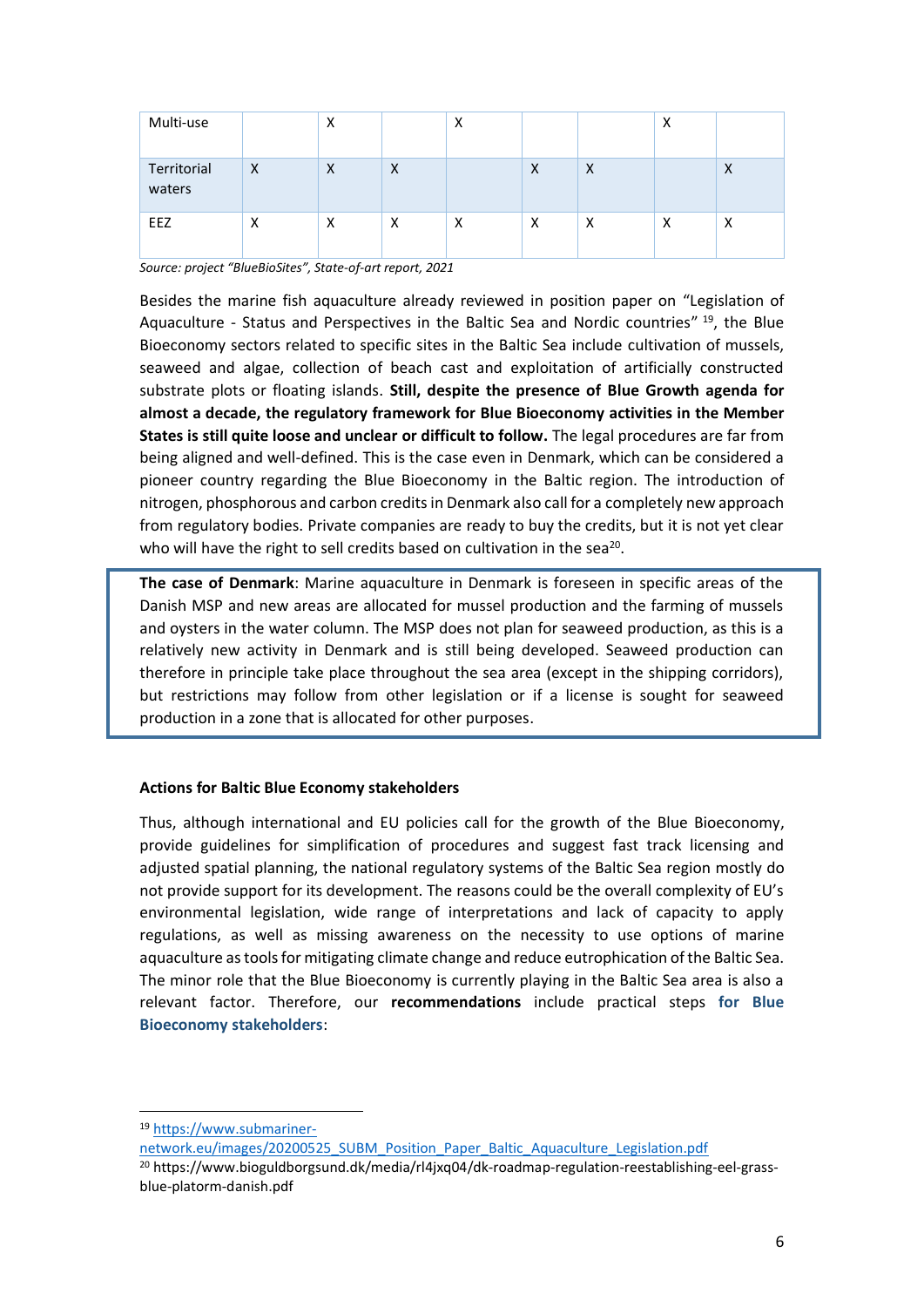| Multi-use             |          | x        |   | ν<br>∧            |   |          | X |                   |
|-----------------------|----------|----------|---|-------------------|---|----------|---|-------------------|
| Territorial<br>waters | $\times$ | $\times$ | X |                   | X | $\times$ |   | X                 |
| <b>EEZ</b>            | X        | X        | X | $\checkmark$<br>v | X | х        | х | $\checkmark$<br>v |

*Source: project "BlueBioSites", State-of-art report, 2021*

Besides the marine fish aquaculture already reviewed in position paper on "Legislation of Aquaculture - Status and Perspectives in the Baltic Sea and Nordic countries"<sup>19</sup>, the Blue Bioeconomy sectors related to specific sites in the Baltic Sea include cultivation of mussels, seaweed and algae, collection of beach cast and exploitation of artificially constructed substrate plots or floating islands. **Still, despite the presence of Blue Growth agenda for almost a decade, the regulatory framework for Blue Bioeconomy activities in the Member States is still quite loose and unclear or difficult to follow.** The legal procedures are far from being aligned and well-defined. This is the case even in Denmark, which can be considered a pioneer country regarding the Blue Bioeconomy in the Baltic region. The introduction of nitrogen, phosphorous and carbon credits in Denmark also call for a completely new approach from regulatory bodies. Private companies are ready to buy the credits, but it is not yet clear who will have the right to sell credits based on cultivation in the sea $^{20}$ .

**The case of Denmark**: Marine aquaculture in Denmark is foreseen in specific areas of the Danish MSP and new areas are allocated for mussel production and the farming of mussels and oysters in the water column. The MSP does not plan for seaweed production, as this is a relatively new activity in Denmark and is still being developed. Seaweed production can therefore in principle take place throughout the sea area (except in the shipping corridors), but restrictions may follow from other legislation or if a license is sought for seaweed production in a zone that is allocated for other purposes.

#### **Actions for Baltic Blue Economy stakeholders**

Thus, although international and EU policies call for the growth of the Blue Bioeconomy, provide guidelines for simplification of procedures and suggest fast track licensing and adjusted spatial planning, the national regulatory systems of the Baltic Sea region mostly do not provide support for its development. The reasons could be the overall complexity of EU's environmental legislation, wide range of interpretations and lack of capacity to apply regulations, as well as missing awareness on the necessity to use options of marine aquaculture as tools for mitigating climate change and reduce eutrophication of the Baltic Sea. The minor role that the Blue Bioeconomy is currently playing in the Baltic Sea area is also a relevant factor. Therefore, our **recommendations** include practical steps **for Blue Bioeconomy stakeholders**:

<sup>19</sup> [https://www.submariner-](https://www.submariner-network.eu/images/20200525_SUBM_Position_Paper_Baltic_Aquaculture_Legislation.pdf)

[network.eu/images/20200525\\_SUBM\\_Position\\_Paper\\_Baltic\\_Aquaculture\\_Legislation.pdf](https://www.submariner-network.eu/images/20200525_SUBM_Position_Paper_Baltic_Aquaculture_Legislation.pdf)

<sup>&</sup>lt;sup>20</sup> https://www.bioguldborgsund.dk/media/rl4jxq04/dk-roadmap-regulation-reestablishing-eel-grassblue-platorm-danish.pdf